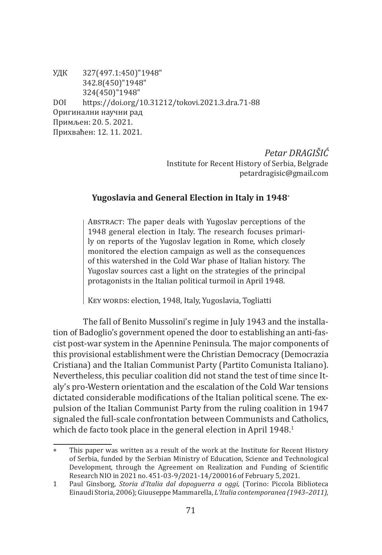УДК 327(497.1:450)"1948" 342.8(450)"1948" 324(450)"1948" DOI https://doi.org/10.31212/tokovi.2021.3.dra.71-88 Оригинални научни рад Примљен: 20. 5. 2021. Прихваћен: 12. 11. 2021.

> *Petar DRAGIŠIĆ* Institute for Recent History of Serbia, Belgrade petardragisic@gmail.com

# **Yugoslavia and General Election in Italy in 1948**<sup>∗</sup>

Abstract: The paper deals with Yugoslav perceptions of the 1948 general election in Italy. The research focuses primarily on reports of the Yugoslav legation in Rome, which closely monitored the election campaign as well as the consequences of this watershed in the Cold War phase of Italian history. The Yugoslav sources cast a light on the strategies of the principal protagonists in the Italian political turmoil in April 1948.

KEY WORDS: election, 1948, Italy, Yugoslavia, Togliatti

The fall of Benito Mussolini's regime in July 1943 and the installation of Badoglio's government opened the door to establishing an anti-fascist post-war system in the Apennine Peninsula. The major components of this provisional establishment were the Christian Democracy (Democrazia Cristiana) and the Italian Communist Party (Partito Comunista Italiano). Nevertheless, this peculiar coalition did not stand the test of time since Italy's pro-Western orientation and the escalation of the Cold War tensions dictated considerable modifications of the Italian political scene. The expulsion of the Italian Communist Party from the ruling coalition in 1947 signaled the full-scale confrontation between Communists and Catholics, which de facto took place in the general election in April 1948.<sup>1</sup>

This paper was written as a result of the work at the Institute for Recent History of Serbia, funded by the Serbian Ministry of Education, Science and Technological Development, through the Agreement on Realization and Funding of Scientific Research NIO in 2021 no. 451-03-9/2021-14/200016 of February 5, 2021.

<sup>1</sup> Paul Ginsborg, *Storia d'Italia dal dopoguerra a oggi,* (Torino: Piccola Biblioteca Einaudi Storia, 2006); Giuuseppe Mammarella, *L'Italia contemporanea (1943*–*2011),*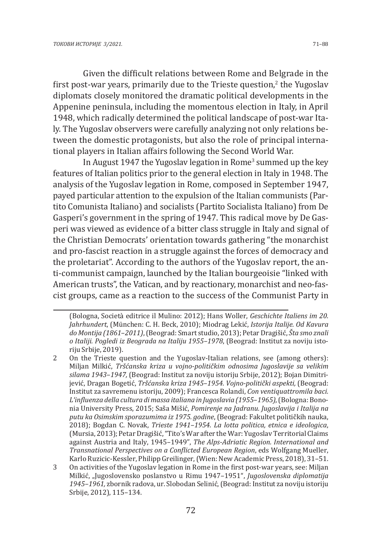Given the difficult relations between Rome and Belgrade in the first post-war years, primarily due to the Trieste question,<sup>2</sup> the Yugoslav diplomats closely monitored the dramatic political developments in the Appenine peninsula, including the momentous election in Italy, in April 1948, which radically determined the political landscape of post-war Italy. The Yugoslav observers were carefully analyzing not only relations between the domestic protagonists, but also the role of principal international players in Italian affairs following the Second World War.

In August 1947 the Yugoslav legation in Rome<sup>3</sup> summed up the key features of Italian politics prior to the general election in Italy in 1948. The analysis of the Yugoslav legation in Rome, composed in September 1947, payed particular attention to the expulsion of the Italian communists (Partito Comunista Italiano) and socialists (Partito Socialista Italiano) from De Gasperi's government in the spring of 1947. This radical move by De Gasperi was viewed as evidence of a bitter class struggle in Italy and signal of the Christian Democrats' orientation towards gathering "the monarchist and pro-fascist reaction in a struggle against the forces of democracy and the proletariat". According to the authors of the Yugoslav report, the anti-communist campaign, launched by the Italian bourgeoisie "linked with American trusts", the Vatican, and by reactionary, monarchist and neo-fascist groups, came as a reaction to the success of the Communist Party in

<sup>(</sup>Bologna, Società editrice il Mulino: 2012); Hans Woller, *Geschichte Italiens im 20. Jahrhundert*, (München: C. H. Beck, 2010); Miodrag Lekić, *Istorija Italije. Od Kavura do Montija (1861*–*2011)*, (Beograd: Smart studio, 2013); Petar Dragišić, *Šta smo znali o Italiji. Pogledi iz Beograda na Italiju 1955–1978*, (Beograd: Institut za noviju istoriju Srbije, 2019).

<sup>2</sup> On the Trieste question and the Yugoslav-Italian relations, see (among others): Miljan Milkić, *Tršćanska kriza u vojno-političkim odnosima Jugoslavije sa velikim silama 1943*–*1947,* (Beograd: Institut za noviju istoriju Srbije, 2012); Bojan Dimitrijević, Dragan Bogetić, *Tršćanska kriza 1945*–*1954. Vojno-politički aspekti,* (Beograd: Institut za savremenu istoriju, 2009); Francesca Rolandi, *Con ventiquattromila baci. L'influenza della cultura di massa italiana in Jugoslavia (1955*–*1965)*, (Bologna: Bononia University Press, 2015; Saša Mišić, *Pomirenje na Jadranu. Jugoslavija i Italija na putu ka Osimskim sporazumima iz 1975. godine*, (Beograd: Fakultet političkih nauka, 2018); Bogdan C. Novak, *Trieste 1941*–*1954*. *La lotta politica, etnica e ideologica*, (Mursia, 2013); Petar Dragišić, "Tito's War after the War: Yugoslav Territorial Claims against Austria and Italy, 1945–1949", *The Alps-Adriatic Region. International and Transnational Perspectives on a Conflicted European Region*, eds Wolfgang Mueller, Karlo Ruzicic-Kessler, Philipp Greilinger, (Wien: New Academic Press, 2018), 31–51.

<sup>3</sup> On activities of the Yugoslav legation in Rome in the first post-war years, see: Miljan Milkić, "Jugoslovensko poslanstvo u Rimu 1947–1951", *Jugoslovenska diplomatija 1945–1961,* zbornik radova, ur. Slobodan Selinić, (Beograd: Institut za noviju istoriju Srbije, 2012), 115–134.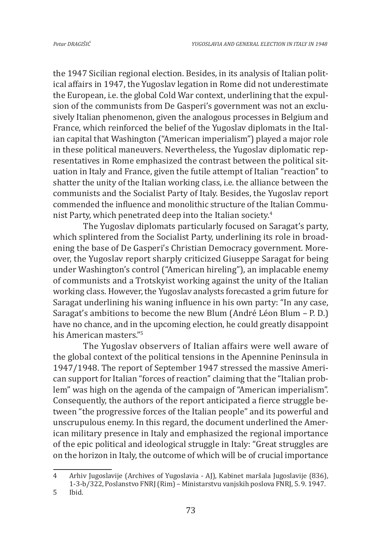the 1947 Sicilian regional election. Besides, in its analysis of Italian political affairs in 1947, the Yugoslav legation in Rome did not underestimate the European, i.e. the global Cold War context, underlining that the expulsion of the communists from De Gasperi's government was not an exclusively Italian phenomenon, given the analogous processes in Belgium and France, which reinforced the belief of the Yugoslav diplomats in the Italian capital that Washington ("American imperialism") played a major role in these political maneuvers. Nevertheless, the Yugoslav diplomatic representatives in Rome emphasized the contrast between the political situation in Italy and France, given the futile attempt of Italian "reaction" to shatter the unity of the Italian working class, i.e. the alliance between the communists and the Socialist Party of Italy. Besides, the Yugoslav report commended the influence and monolithic structure of the Italian Communist Party, which penetrated deep into the Italian society.<sup>4</sup>

The Yugoslav diplomats particularly focused on Saragat's party, which splintered from the Socialist Party, underlining its role in broadening the base of De Gasperi's Christian Democracy government. Moreover, the Yugoslav report sharply criticized Giuseppe Saragat for being under Washington's control ("American hireling"), an implacable enemy of communists and a Trotskyist working against the unity of the Italian working class. However, the Yugoslav analysts forecasted a grim future for Saragat underlining his waning influence in his own party: "In any case, Saragat's ambitions to become the new Blum (André Léon Blum – P. D.) have no chance, and in the upcoming election, he could greatly disappoint his American masters."<sup>5</sup>

The Yugoslav observers of Italian affairs were well aware of the global context of the political tensions in the Apennine Peninsula in 1947/1948. The report of September 1947 stressed the massive American support for Italian "forces of reaction" claiming that the "Italian problem" was high on the agenda of the campaign of "American imperialism". Consequently, the authors of the report anticipated a fierce struggle between "the progressive forces of the Italian people" and its powerful and unscrupulous enemy. In this regard, the document underlined the American military presence in Italy and emphasized the regional importance of the epic political and ideological struggle in Italy: "Great struggles are on the horizon in Italy, the outcome of which will be of crucial importance

<sup>4</sup> Arhiv Jugoslavije (Archives of Yugoslavia - AJ), Kabinet maršala Jugoslavije (836), 1-3-b/322, Poslanstvo FNRJ (Rim) – Ministarstvu vanjskih poslova FNRJ, 5. 9. 1947.

<sup>5</sup> Ibid.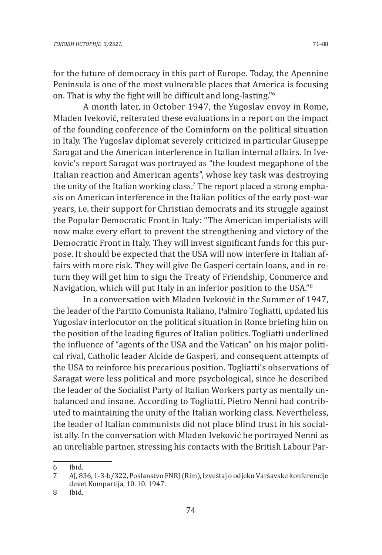for the future of democracy in this part of Europe. Today, the Apennine Peninsula is one of the most vulnerable places that America is focusing on. That is why the fight will be difficult and long-lasting."<sup>6</sup>

A month later, in October 1947, the Yugoslav envoy in Rome, Mladen Iveković, reiterated these evaluations in a report on the impact of the founding conference of the Cominform on the political situation in Italy. The Yugoslav diplomat severely criticized in particular Giuseppe Saragat and the American interference in Italian internal affairs. In Ivekovic's report Saragat was portrayed as "the loudest megaphone of the Italian reaction and American agents", whose key task was destroying the unity of the Italian working class.' The report placed a strong emphasis on American interference in the Italian politics of the early post-war years, i.e. their support for Christian democrats and its struggle against the Popular Democratic Front in Italy: "The American imperialists will now make every effort to prevent the strengthening and victory of the Democratic Front in Italy. They will invest significant funds for this purpose. It should be expected that the USA will now interfere in Italian affairs with more risk. They will give De Gasperi certain loans, and in return they will get him to sign the Treaty of Friendship, Commerce and Navigation, which will put Italy in an inferior position to the USA."<sup>8</sup>

In a conversation with Mladen Iveković in the Summer of 1947, the leader of the Partito Comunista Italiano, Palmiro Togliatti, updated his Yugoslav interlocutor on the political situation in Rome briefing him on the position of the leading figures of Italian politics. Togliatti underlined the influence of "agents of the USA and the Vatican" on his major political rival, Catholic leader Alcide de Gasperi, and consequent attempts of the USA to reinforce his precarious position. Togliatti's observations of Saragat were less political and more psychological, since he described the leader of the Socialist Party of Italian Workers party as mentally unbalanced and insane. According to Togliatti, Pietro Nenni had contributed to maintaining the unity of the Italian working class. Nevertheless, the leader of Italian communists did not place blind trust in his socialist ally. In the conversation with Mladen Iveković he portrayed Nenni as an unreliable partner, stressing his contacts with the British Labour Par-

<sup>6</sup> Ibid.

<sup>7</sup> AJ, 836, 1-3-b/322, Poslanstvo FNRJ (Rim), Izveštaj o odjeku Varšavske konferencije devet Kompartija, 10. 10. 1947.

<sup>8</sup> Ibid.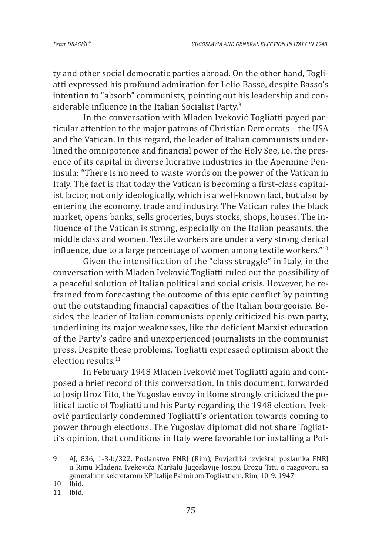ty and other social democratic parties abroad. On the other hand, Togliatti expressed his profound admiration for Lelio Basso, despite Basso's intention to "absorb" communists, pointing out his leadership and considerable influence in the Italian Socialist Party.<sup>9</sup>

In the conversation with Mladen Iveković Togliatti payed particular attention to the major patrons of Christian Democrats – the USA and the Vatican. In this regard, the leader of Italian communists underlined the omnipotence and financial power of the Holy See, i.e. the presence of its capital in diverse lucrative industries in the Apennine Peninsula: "There is no need to waste words on the power of the Vatican in Italy. The fact is that today the Vatican is becoming a first-class capitalist factor, not only ideologically, which is a well-known fact, but also by entering the economy, trade and industry. The Vatican rules the black market, opens banks, sells groceries, buys stocks, shops, houses. The influence of the Vatican is strong, especially on the Italian peasants, the middle class and women. Textile workers are under a very strong clerical influence, due to a large percentage of women among textile workers."<sup>10</sup>

Given the intensification of the "class struggle" in Italy, in the conversation with Mladen Iveković Togliatti ruled out the possibility of a peaceful solution of Italian political and social crisis. However, he refrained from forecasting the outcome of this epic conflict by pointing out the outstanding financial capacities of the Italian bourgeoisie. Besides, the leader of Italian communists openly criticized his own party, underlining its major weaknesses, like the deficient Marxist education of the Party's cadre and unexperienced journalists in the communist press. Despite these problems, Togliatti expressed optimism about the election results.<sup>11</sup>

In February 1948 Mladen Iveković met Togliatti again and composed a brief record of this conversation. In this document, forwarded to Josip Broz Tito, the Yugoslav envoy in Rome strongly criticized the political tactic of Togliatti and his Party regarding the 1948 election. Iveković particularly condemned Togliatti's orientation towards coming to power through elections. The Yugoslav diplomat did not share Togliatti's opinion, that conditions in Italy were favorable for installing a Pol-

<sup>9</sup> AJ, 836, 1-3-b/322, Poslanstvo FNRJ (Rim), Povjerljivi izvještaj poslanika FNRJ u Rimu Mladena Ivekovića Maršalu Jugoslavije Josipu Brozu Titu o razgovoru sa generalnim sekretarom KP Italije Palmirom Togliattiem, Rim, 10. 9. 1947.

<sup>10</sup> Ibid.

<sup>11</sup> Ibid.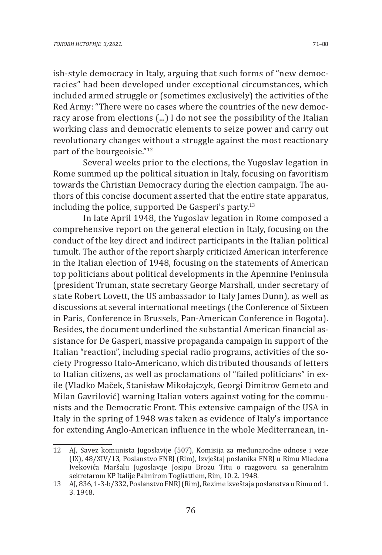ish-style democracy in Italy, arguing that such forms of "new democracies" had been developed under exceptional circumstances, which included armed struggle or (sometimes exclusively) the activities of the Red Army: "There were no cases where the countries of the new democracy arose from elections (...) I do not see the possibility of the Italian working class and democratic elements to seize power and carry out revolutionary changes without a struggle against the most reactionary part of the bourgeoisie."<sup>12</sup>

Several weeks prior to the elections, the Yugoslav legation in Rome summed up the political situation in Italy, focusing on favoritism towards the Christian Democracy during the election campaign. The authors of this concise document asserted that the entire state apparatus, including the police, supported De Gasperi's party. $13$ 

In late April 1948, the Yugoslav legation in Rome composed a comprehensive report on the general election in Italy, focusing on the conduct of the key direct and indirect participants in the Italian political tumult. The author of the report sharply criticized American interference in the Italian election of 1948, focusing on the statements of American top politicians about political developments in the Apennine Peninsula (president Truman, state secretary George Marshall, under secretary of state Robert Lovett, the US ambassador to Italy James Dunn), as well as discussions at several international meetings (the Conference of Sixteen in Paris, Conference in Brussels, Pan-American Conference in Bogota). Besides, the document underlined the substantial American financial assistance for De Gasperi, massive propaganda campaign in support of the Italian "reaction", including special radio programs, activities of the society Progresso Italo-Americano, which distributed thousands of letters to Italian citizens, as well as proclamations of "failed politicians" in exile (Vladko Maček, Stanisław Mikołajczyk, Georgi Dimitrov Gemeto and Milan Gavrilović) warning Italian voters against voting for the communists and the Democratic Front. This extensive campaign of the USA in Italy in the spring of 1948 was taken as evidence of Italy's importance for extending Anglo-American influence in the whole Mediterranean, in-

<sup>12</sup> AJ, Savez komunista Jugoslavije (507), Komisija za međunarodne odnose i veze (IX), 48/XIV/13, Poslanstvo FNRJ (Rim), Izvještaj poslanika FNRJ u Rimu Mladena Ivekovića Maršalu Jugoslavije Josipu Brozu Titu o razgovoru sa generalnim sekretarom KP Italije Palmirom Togliattiem, Rim, 10. 2. 1948.

<sup>13</sup> AJ, 836, 1-3-b/332, Poslanstvo FNRJ (Rim), Rezime izveštaja poslanstva u Rimu od 1. 3. 1948.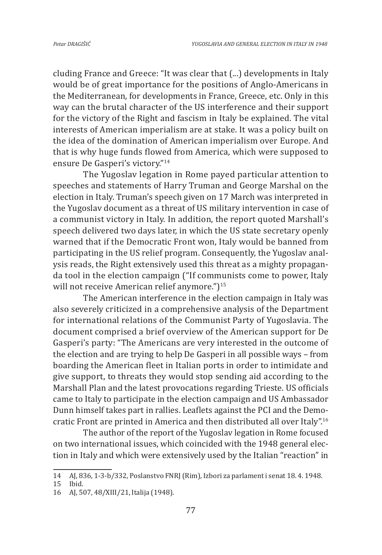cluding France and Greece: "It was clear that (...) developments in Italy would be of great importance for the positions of Anglo-Americans in the Mediterranean, for developments in France, Greece, etc. Only in this way can the brutal character of the US interference and their support for the victory of the Right and fascism in Italy be explained. The vital interests of American imperialism are at stake. It was a policy built on the idea of the domination of American imperialism over Europe. And that is why huge funds flowed from America, which were supposed to ensure De Gasperi's victory."<sup>14</sup>

The Yugoslav legation in Rome payed particular attention to speeches and statements of Harry Truman and George Marshal on the election in Italy. Truman's speech given on 17 March was interpreted in the Yugoslav document as a threat of US military intervention in case of a communist victory in Italy. In addition, the report quoted Marshall's speech delivered two days later, in which the US state secretary openly warned that if the Democratic Front won, Italy would be banned from participating in the US relief program. Consequently, the Yugoslav analysis reads, the Right extensively used this threat as a mighty propaganda tool in the election campaign ("If communists come to power, Italy will not receive American relief anymore.")<sup>15</sup>

The American interference in the election campaign in Italy was also severely criticized in a comprehensive analysis of the Department for international relations of the Communist Party of Yugoslavia. The document comprised a brief overview of the American support for De Gasperi's party: "The Americans are very interested in the outcome of the election and are trying to help De Gasperi in all possible ways – from boarding the American fleet in Italian ports in order to intimidate and give support, to threats they would stop sending aid according to the Marshall Plan and the latest provocations regarding Trieste. US officials came to Italy to participate in the election campaign and US Ambassador Dunn himself takes part in rallies. Leaflets against the PCI and the Democratic Front are printed in America and then distributed all over Italy".<sup>16</sup>

The author of the report of the Yugoslav legation in Rome focused on two international issues, which coincided with the 1948 general election in Italy and which were extensively used by the Italian "reaction" in

<sup>14</sup> AJ, 836, 1-3-b/332, Poslanstvo FNRJ (Rim), Izbori za parlament i senat 18. 4. 1948.

<sup>15</sup> Ibid.<br>16 Al. 5

<sup>16</sup> AJ, 507, 48/XIII/21, Italija (1948).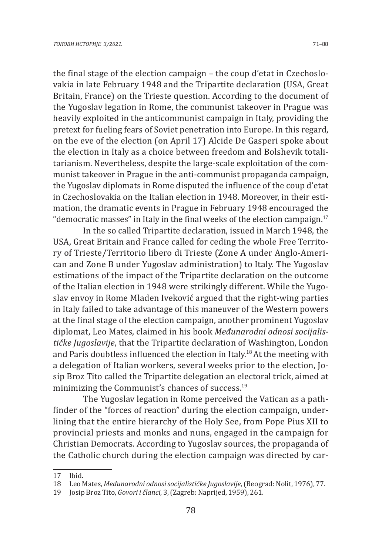the final stage of the election campaign – the coup d'etat in Czechoslovakia in late February 1948 and the Tripartite declaration (USA, Great Britain, France) on the Trieste question. According to the document of the Yugoslav legation in Rome, the communist takeover in Prague was heavily exploited in the anticommunist campaign in Italy, providing the pretext for fueling fears of Soviet penetration into Europe. In this regard, on the eve of the election (on April 17) Alcide De Gasperi spoke about the election in Italy as a choice between freedom and Bolshevik totalitarianism. Nevertheless, despite the large-scale exploitation of the communist takeover in Prague in the anti-communist propaganda campaign, the Yugoslav diplomats in Rome disputed the influence of the coup d'etat in Czechoslovakia on the Italian election in 1948. Moreover, in their estimation, the dramatic events in Prague in February 1948 encouraged the "democratic masses" in Italy in the final weeks of the election campaign.<sup>17</sup>

In the so called Tripartite declaration, issued in March 1948, the USA, Great Britain and France called for ceding the whole Free Territory of Trieste/Territorio libero di Trieste (Zone A under Anglo-American and Zone B under Yugoslav administration) to Italy. The Yugoslav estimations of the impact of the Tripartite declaration on the outcome of the Italian election in 1948 were strikingly different. While the Yugoslav envoy in Rome Mladen Iveković argued that the right-wing parties in Italy failed to take advantage of this maneuver of the Western powers at the final stage of the election campaign, another prominent Yugoslav diplomat, Leo Mates, claimed in his book *Međunarodni odnosi socijalističke Jugoslavije*, that the Tripartite declaration of Washington, London and Paris doubtless influenced the election in Italy.<sup>18</sup> At the meeting with a delegation of Italian workers, several weeks prior to the election, Josip Broz Tito called the Tripartite delegation an electoral trick, aimed at minimizing the Communist's chances of success.<sup>19</sup>

The Yugoslav legation in Rome perceived the Vatican as a pathfinder of the "forces of reaction" during the election campaign, underlining that the entire hierarchy of the Holy See, from Pope Pius XII to provincial priests and monks and nuns, engaged in the campaign for Christian Democrats. According to Yugoslav sources, the propaganda of the Catholic church during the election campaign was directed by car-

<sup>17</sup> Ibid.<br>18 Leol

<sup>18</sup> Leo Mates, *Međunarodni odnosi socijalističke Jugoslavije*, (Beograd: Nolit, 1976), 77.

<sup>19</sup> Josip Broz Tito, *Govori i članci*, 3, (Zagreb: Naprijed, 1959), 261.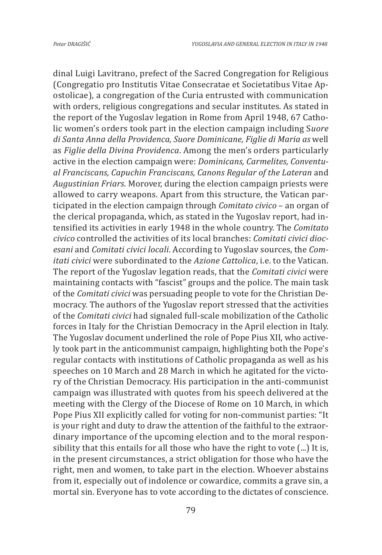dinal Luigi Lavitrano, prefect of the Sacred Congregation for Religious (Congregatio pro Institutis Vitae Consecratae et Societatibus Vitae Apostolicae), a congregation of the Curia entrusted with communication with orders, religious congregations and secular institutes. As stated in the report of the Yugoslav legation in Rome from April 1948, 67 Catholic women's orders took part in the election campaign including S*uore di Santa Anna della Providenca, Suore Dominicane, Figlie di Maria as* well as *Figlie della Divina Providenca*. Among the men's orders particularly active in the election campaign were: *Dominicans, Carmelites, Conventual Franciscans, Capuchin Franciscans, Canons Regular of the Lateran* and *Augustinian Friars*. Morover, during the election campaign priests were allowed to carry weapons. Apart from this structure, the Vatican participated in the election campaign through *Comitato civico* – an organ of the clerical propaganda, which, as stated in the Yugoslav report, had intensified its activities in early 1948 in the whole country. The *Comitato civico* controlled the activities of its local branches: *Comitati civici diocesani* and *Comitati civici locali*. According to Yugoslav sources, the *Comitati civici* were subordinated to the *Azione Cattolica*, i.e. to the Vatican. The report of the Yugoslav legation reads, that the *Comitati civici* were maintaining contacts with "fascist" groups and the police. The main task of the *Comitati civici* was persuading people to vote for the Christian Democracy. The authors of the Yugoslav report stressed that the activities of the *Comitati civici* had signaled full-scale mobilization of the Catholic forces in Italy for the Christian Democracy in the April election in Italy. The Yugoslav document underlined the role of Pope Pius XII, who actively took part in the anticommunist campaign, highlighting both the Pope's regular contacts with institutions of Catholic propaganda as well as his speeches on 10 March and 28 March in which he agitated for the victory of the Christian Democracy. His participation in the anti-communist campaign was illustrated with quotes from his speech delivered at the meeting with the Clergy of the Diocese of Rome on 10 March, in which Pope Pius XII explicitly called for voting for non-communist parties: "It is your right and duty to draw the attention of the faithful to the extraordinary importance of the upcoming election and to the moral responsibility that this entails for all those who have the right to vote (...) It is, in the present circumstances, a strict obligation for those who have the right, men and women, to take part in the election. Whoever abstains from it, especially out of indolence or cowardice, commits a grave sin, a mortal sin. Everyone has to vote according to the dictates of conscience.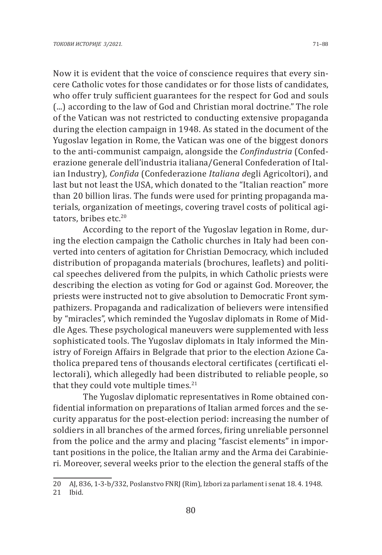Now it is evident that the voice of conscience requires that every sincere Catholic votes for those candidates or for those lists of candidates, who offer truly sufficient guarantees for the respect for God and souls (...) according to the law of God and Christian moral doctrine." The role of the Vatican was not restricted to conducting extensive propaganda during the election campaign in 1948. As stated in the document of the Yugoslav legation in Rome, the Vatican was one of the biggest donors to the anti-communist campaign, alongside the *Confindustria* (Confederazione generale dell'industria italiana/General Confederation of Italian Industry), *Confida* (Confederazione *Italiana d*egli Agricoltori), and last but not least the USA, which donated to the "Italian reaction" more than 20 billion liras. The funds were used for printing propaganda materials, organization of meetings, covering travel costs of political agitators, bribes etc.<sup>20</sup>

According to the report of the Yugoslav legation in Rome, during the election campaign the Catholic churches in Italy had been converted into centers of agitation for Christian Democracy, which included distribution of propaganda materials (brochures, leaflets) and political speeches delivered from the pulpits, in which Catholic priests were describing the election as voting for God or against God. Moreover, the priests were instructed not to give absolution to Democratic Front sympathizers. Propaganda and radicalization of believers were intensified by "miracles", which reminded the Yugoslav diplomats in Rome of Middle Ages. These psychological maneuvers were supplemented with less sophisticated tools. The Yugoslav diplomats in Italy informed the Ministry of Foreign Affairs in Belgrade that prior to the election Azione Catholica prepared tens of thousands electoral certificates (certificati ellectorali), which allegedly had been distributed to reliable people, so that they could vote multiple times. $21$ 

The Yugoslav diplomatic representatives in Rome obtained confidential information on preparations of Italian armed forces and the security apparatus for the post-election period: increasing the number of soldiers in all branches of the armed forces, firing unreliable personnel from the police and the army and placing "fascist elements" in important positions in the police, the Italian army and the Arma dei Carabinieri. Moreover, several weeks prior to the election the general staffs of the

<sup>20</sup> AJ, 836, 1-3-b/332, Poslanstvo FNRJ (Rim), Izbori za parlament i senat 18. 4. 1948. Ibid.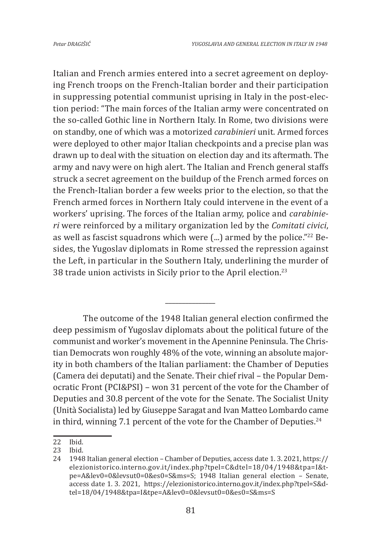Italian and French armies entered into a secret agreement on deploying French troops on the French-Italian border and their participation in suppressing potential communist uprising in Italy in the post-election period: "The main forces of the Italian army were concentrated on the so-called Gothic line in Northern Italy. In Rome, two divisions were on standby, one of which was a motorized *carabinieri* unit. Armed forces were deployed to other major Italian checkpoints and a precise plan was drawn up to deal with the situation on election day and its aftermath. The army and navy were on high alert. The Italian and French general staffs struck a secret agreement on the buildup of the French armed forces on the French-Italian border a few weeks prior to the election, so that the French armed forces in Northern Italy could intervene in the event of a workers' uprising. The forces of the Italian army, police and *carabinieri* were reinforced by a military organization led by the *Comitati civici*, as well as fascist squadrons which were (...) armed by the police."<sup>22</sup> Besides, the Yugoslav diplomats in Rome stressed the repression against the Left, in particular in the Southern Italy, underlining the murder of 38 trade union activists in Sicily prior to the April election.<sup>23</sup>

The outcome of the 1948 Italian general election confirmed the deep pessimism of Yugoslav diplomats about the political future of the communist and worker's movement in the Apennine Peninsula. The Christian Democrats won roughly 48% of the vote, winning an absolute majority in both chambers of the Italian parliament: the Chamber of Deputies (Camera dei deputati) and the Senate. Their chief rival – the Popular Democratic Front (PCI&PSI) – won 31 percent of the vote for the Chamber of Deputies and 30.8 percent of the vote for the Senate. The Socialist Unity (Unità Socialista) led by Giuseppe Saragat and Ivan Matteo Lombardo came in third, winning 7.1 percent of the vote for the Chamber of Deputies. $24$ 

*\_\_\_\_\_\_\_\_\_\_\_\_\_\_\_*

<sup>22</sup> Ibid.

<sup>23</sup> Ibid.

<sup>24</sup> 1948 Italian general election – Chamber of Deputies, access date 1. 3. 2021, https:// elezionistorico.interno.gov.it/index.php?tpel=C&dtel=18/04/1948&tpa=I&tpe=A&lev0=0&levsut0=0&es0=S&ms=S; 1948 Italian general election – Senate, access date 1. 3. 2021, https://elezionistorico.interno.gov.it/index.php?tpel=S&dtel=18/04/1948&tpa=I&tpe=A&lev0=0&levsut0=0&es0=S&ms=S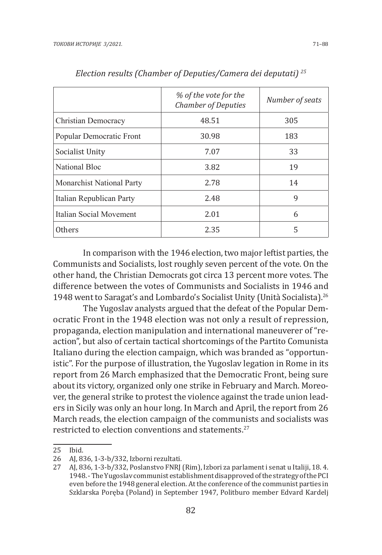|                                  | % of the vote for the<br><b>Chamber of Deputies</b> | Number of seats |
|----------------------------------|-----------------------------------------------------|-----------------|
| Christian Democracy              | 48.51                                               | 305             |
| Popular Democratic Front         | 30.98                                               | 183             |
| Socialist Unity                  | 7.07                                                | 33              |
| National Bloc                    | 3.82                                                | 19              |
| <b>Monarchist National Party</b> | 2.78                                                | 14              |
| Italian Republican Party         | 2.48                                                | 9               |
| Italian Social Movement          | 2.01                                                | 6               |
| <b>Others</b>                    | 2.35                                                | 5               |

*Election results (Chamber of Deputies/Camera dei deputati) 25*

In comparison with the 1946 election, two major leftist parties, the Communists and Socialists, lost roughly seven percent of the vote. On the other hand, the Christian Democrats got circa 13 percent more votes. The difference between the votes of Communists and Socialists in 1946 and 1948 went to Saragat's and Lombardo's Socialist Unity (Unità Socialista).<sup>26</sup>

The Yugoslav analysts argued that the defeat of the Popular Democratic Front in the 1948 election was not only a result of repression, propaganda, election manipulation and international maneuverer of "reaction", but also of certain tactical shortcomings of the Partito Comunista Italiano during the election campaign, which was branded as "opportunistic". For the purpose of illustration, the Yugoslav legation in Rome in its report from 26 March emphasized that the Democratic Front, being sure about its victory, organized only one strike in February and March. Moreover, the general strike to protest the violence against the trade union leaders in Sicily was only an hour long. In March and April, the report from 26 March reads, the election campaign of the communists and socialists was restricted to election conventions and statements.<sup>27</sup>

<sup>25</sup> Ibid.<br>26 Al. 83

<sup>26</sup> AJ, 836, 1-3-b/332, Izborni rezultati.

<sup>27</sup> AJ, 836, 1-3-b/332, Poslanstvo FNRJ (Rim), Izbori za parlament i senat u Italiji, 18. 4. 1948. - The Yugoslav communist establishment disapproved of the strategy of the PCI even before the 1948 general election. At the conference of the communist parties in Szklarska Poręba (Poland) in September 1947, Politburo member Edvard Kardelj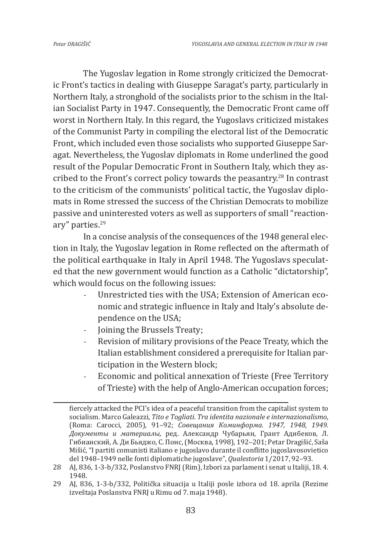The Yugoslav legation in Rome strongly criticized the Democratic Front's tactics in dealing with Giuseppe Saragat's party, particularly in Northern Italy, a stronghold of the socialists prior to the schism in the Italian Socialist Party in 1947. Consequently, the Democratic Front came off worst in Northern Italy. In this regard, the Yugoslavs criticized mistakes of the Communist Party in compiling the electoral list of the Democratic Front, which included even those socialists who supported Giuseppe Saragat. Nevertheless, the Yugoslav diplomats in Rome underlined the good result of the Popular Democratic Front in Southern Italy, which they ascribed to the Front's correct policy towards the peasantry.28 In contrast to the criticism of the communists' political tactic, the Yugoslav diplomats in Rome stressed the success of the Christian Democrats to mobilize passive and uninterested voters as well as supporters of small "reactionary" parties.<sup>29</sup>

In a concise analysis of the consequences of the 1948 general election in Italy, the Yugoslav legation in Rome reflected on the aftermath of the political earthquake in Italy in April 1948. The Yugoslavs speculated that the new government would function as a Catholic "dictatorship", which would focus on the following issues:

- Unrestricted ties with the USA; Extension of American economic and strategic influence in Italy and Italy's absolute dependence on the USA;
- Joining the Brussels Treaty;
- Revision of military provisions of the Peace Treaty, which the Italian establishment considered a prerequisite for Italian participation in the Western block;
- Economic and political annexation of Trieste (Free Territory of Trieste) with the help of Anglo-American occupation forces;

fiercely attacked the PCI's idea of a peaceful transition from the capitalist system to socialism. Marco Galeazzi, *Tito e Togliati. Tra identita nazionale e internazionalismo*, (Roma: Carocci, 2005), 91–92; *Совещания Коминформа. 1947, 1948, 1949. Документы и материалы*, ред. Александр Чубарьян, Грант Адибеков, Л. Гибианский, А. Ди Бьяджо, С. Понс, (Москва, 1998), 192–201; Petar Dragišić, Saša Mišić, "I partiti comunisti italiano e jugoslavo durante il conflitto jugoslavosovietico del 1948–1949 nelle fonti diplomatiche jugoslave", *Qualestoria* 1/2017, 92–93.

<sup>28</sup> AJ, 836, 1-3-b/332, Poslanstvo FNRJ (Rim), Izbori za parlament i senat u Italiji, 18. 4. 1948.

<sup>29</sup> AJ, 836, 1-3-b/332, Politička situacija u Italiji posle izbora od 18. aprila (Rezime izveštaja Poslanstva FNRJ u Rimu od 7. maja 1948).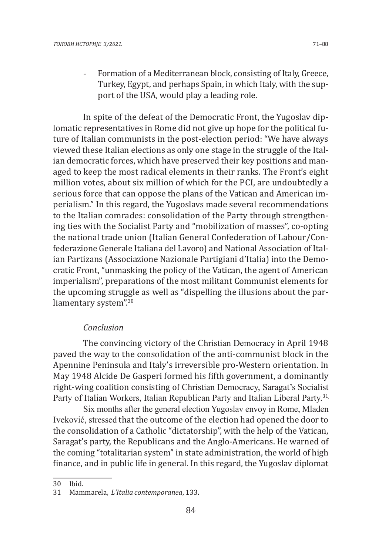Formation of a Mediterranean block, consisting of Italy, Greece, Turkey, Egypt, and perhaps Spain, in which Italy, with the support of the USA, would play a leading role.

In spite of the defeat of the Democratic Front, the Yugoslav diplomatic representatives in Rome did not give up hope for the political future of Italian communists in the post-election period: "We have always viewed these Italian elections as only one stage in the struggle of the Italian democratic forces, which have preserved their key positions and managed to keep the most radical elements in their ranks. The Front's eight million votes, about six million of which for the PCI, are undoubtedly a serious force that can oppose the plans of the Vatican and American imperialism." In this regard, the Yugoslavs made several recommendations to the Italian comrades: consolidation of the Party through strengthening ties with the Socialist Party and "mobilization of masses", co-opting the national trade union (Italian General Confederation of Labour/Confederazione Generale Italiana del Lavoro) and National Association of Italian Partizans (Associazione Nazionale Partigiani d'Italia) into the Democratic Front, "unmasking the policy of the Vatican, the agent of American imperialism", preparations of the most militant Communist elements for the upcoming struggle as well as "dispelling the illusions about the parliamentary system".<sup>30</sup>

# *Conclusion*

The convincing victory of the Christian Democracy in April 1948 paved the way to the consolidation of the anti-communist block in the Apennine Peninsula and Italy's irreversible pro-Western orientation. In May 1948 Alcide De Gasperi formed his fifth government, a dominantly right-wing coalition consisting of Christian Democracy, Saragat's Socialist Party of Italian Workers, Italian Republican Party and Italian Liberal Party.<sup>31</sup>

Six months after the general election Yugoslav envoy in Rome, Mladen Iveković, stressed that the outcome of the election had opened the door to the consolidation of a Catholic "dictatorship", with the help of the Vatican, Saragat's party, the Republicans and the Anglo-Americans. He warned of the coming "totalitarian system" in state administration, the world of high finance, and in public life in general. In this regard, the Yugoslav diplomat

<sup>30</sup> Ibid.

<sup>31</sup> Mammarela, *L'Italia contemporanea*, 133.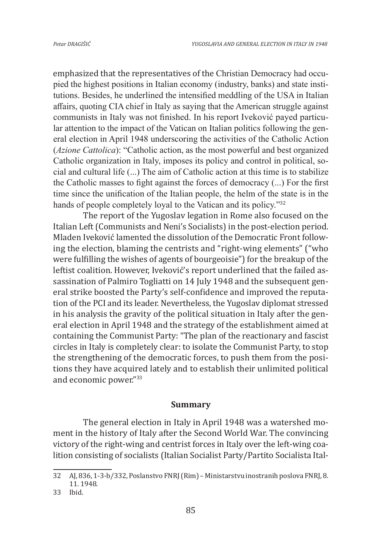emphasized that the representatives of the Christian Democracy had occupied the highest positions in Italian economy (industry, banks) and state institutions. Besides, he underlined the intensified meddling of the USA in Italian affairs, quoting CIA chief in Italy as saying that the American struggle against communists in Italy was not finished. In his report Iveković payed particular attention to the impact of the Vatican on Italian politics following the general election in April 1948 underscoring the activities of the Catholic Action (*Azione Cattolica*): "Catholic action, as the most powerful and best organized Catholic organization in Italy, imposes its policy and control in political, social and cultural life (...) The aim of Catholic action at this time is to stabilize the Catholic masses to fight against the forces of democracy (...) For the first time since the unification of the Italian people, the helm of the state is in the hands of people completely loyal to the Vatican and its policy."<sup>32</sup>

The report of the Yugoslav legation in Rome also focused on the Italian Left (Communists and Neni's Socialists) in the post-election period. Mladen Iveković lamented the dissolution of the Democratic Front following the election, blaming the centrists and "right-wing elements" ("who were fulfilling the wishes of agents of bourgeoisie") for the breakup of the leftist coalition. However, Iveković's report underlined that the failed assassination of Palmiro Togliatti on 14 July 1948 and the subsequent general strike boosted the Party's self-confidence and improved the reputation of the PCI and its leader. Nevertheless, the Yugoslav diplomat stressed in his analysis the gravity of the political situation in Italy after the general election in April 1948 and the strategy of the establishment aimed at containing the Communist Party: "The plan of the reactionary and fascist circles in Italy is completely clear: to isolate the Communist Party, to stop the strengthening of the democratic forces, to push them from the positions they have acquired lately and to establish their unlimited political and economic power."<sup>33</sup>

#### **Summary**

The general election in Italy in April 1948 was a watershed moment in the history of Italy after the Second World War. The convincing victory of the right-wing and centrist forces in Italy over the left-wing coalition consisting of socialists (Italian Socialist Party/Partito Socialista Ital-

<sup>32</sup> AJ, 836, 1-3-b/332, Poslanstvo FNRJ (Rim) – Ministarstvu inostranih poslova FNRJ, 8. 11. 1948.

<sup>33</sup> Ibid.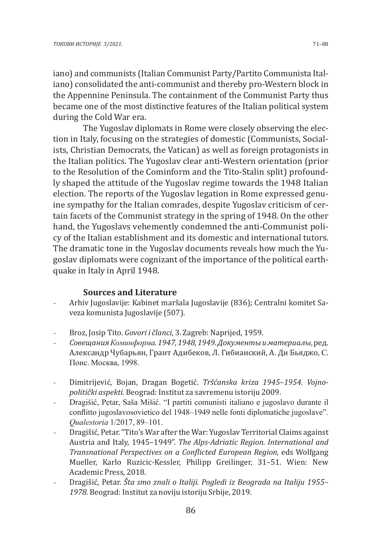iano) and communists (Italian Communist Party/Partito Communista Italiano) consolidated the anti-communist and thereby pro-Western block in the Appennine Peninsula. The containment of the Communist Party thus became one of the most distinctive features of the Italian political system during the Cold War era.

The Yugoslav diplomats in Rome were closely observing the election in Italy, focusing on the strategies of domestic (Communists, Socialists, Christian Democrats, the Vatican) as well as foreign protagonists in the Italian politics. The Yugoslav clear anti-Western orientation (prior to the Resolution of the Cominform and the Tito-Stalin split) profoundly shaped the attitude of the Yugoslav regime towards the 1948 Italian election. The reports of the Yugoslav legation in Rome expressed genuine sympathy for the Italian comrades, despite Yugoslav criticism of certain facets of the Communist strategy in the spring of 1948. On the other hand, the Yugoslavs vehemently condemned the anti-Communist policy of the Italian establishment and its domestic and international tutors. The dramatic tone in the Yugoslav documents reveals how much the Yugoslav diplomats were cognizant of the importance of the political earthquake in Italy in April 1948.

### **Sources and Literature**

- Arhiv Jugoslavije: Kabinet maršala Jugoslavije (836); Centralni komitet Saveza komunista Jugoslavije (507).
- Broz, Josip Tito. *Govori i članci*, 3. Zagreb: Naprijed, 1959.
- *Совещания Коминформа. 1947, 1948, 1949. Документы и материалы*, ред. Александр Чубарьян, Грант Адибеков, Л. Гибианский, А. Ди Бьяджо, С. Понс. Москва, 1998.
- Dimitrijević, Bojan, Dragan Bogetić. *Tršćanska kriza 1945*–*1954. Vojnopolitički aspekti.* Beograd: Institut za savremenu istoriju 2009.
- Dragišić, Petar, Saša Mišić. "I partiti comunisti italiano e jugoslavo durante il conflitto jugoslavosovietico del 1948–1949 nelle fonti diplomatiche jugoslave"*. Qualestoria* 1/2017, 89–101.
- Dragišić, Petar. "Tito's War after the War: Yugoslav Territorial Claims against Austria and Italy, 1945–1949". *The Alps-Adriatic Region. International and Transnational Perspectives on a Conflicted European Region,* eds Wolfgang Mueller, Karlo Ruzicic-Kessler, Philipp Greilinger, 31–51. Wien: New Academic Press, 2018.
- Dragišić, Petar. *Šta smo znali o Italiji. Pogledi iz Beograda na Italiju 1955– 1978.* Beograd: Institut za noviju istoriju Srbije, 2019.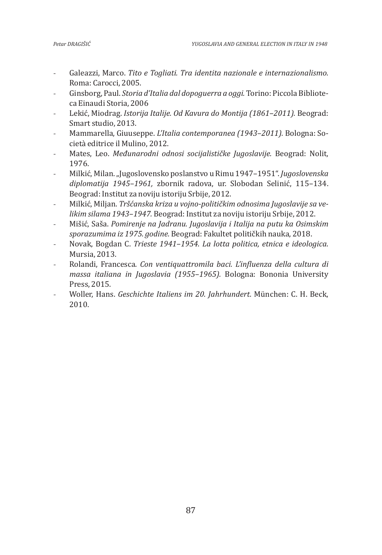- Galeazzi, Marco. *Tito e Togliati. Tra identita nazionale e internazionalismo.* Roma: Carocci, 2005.
- Ginsborg, Paul. *Storia d'Italia dal dopoguerra a oggi.* Torino: Piccola Biblioteca Einaudi Storia, 2006
- Lekić, Miodrag. *Istorija Italije. Od Kavura do Montija (1861*–*2011).* Beograd: Smart studio, 2013.
- Mammarella, Giuuseppe. *L'Italia contemporanea (1943*–*2011).* Bologna: Società editrice il Mulino, 2012.
- Mates, Leo. *Međunarodni odnosi socijalističke Jugoslavije.* Beograd: Nolit, 1976.
- Milkić, Milan. "Jugoslovensko poslanstvo u Rimu 1947–1951". *Jugoslovenska diplomatija 1945–1961,* zbornik radova, ur. Slobodan Selinić, 115–134. Beograd: Institut za noviju istoriju Srbije, 2012.
- Milkić, Miljan. *Tršćanska kriza u vojno-političkim odnosima Jugoslavije sa velikim silama 1943*–*1947.* Beograd: Institut za noviju istoriju Srbije, 2012.
- Mišić, Saša. *Pomirenje na Jadranu. Jugoslavija i Italija na putu ka Osimskim sporazumima iz 1975. godine.* Beograd: Fakultet političkih nauka, 2018.
- Novak, Bogdan C. *Trieste 1941*–*1954*. *La lotta politica, etnica e ideologica*. Mursia, 2013.
- Rolandi, Francesca. *Con ventiquattromila baci. L'influenza della cultura di massa italiana in Jugoslavia (1955*–*1965).* Bologna: Bononia University Press, 2015.
- Woller, Hans. *Geschichte Italiens im 20. Jahrhundert.* München: C. H. Beck, 2010.